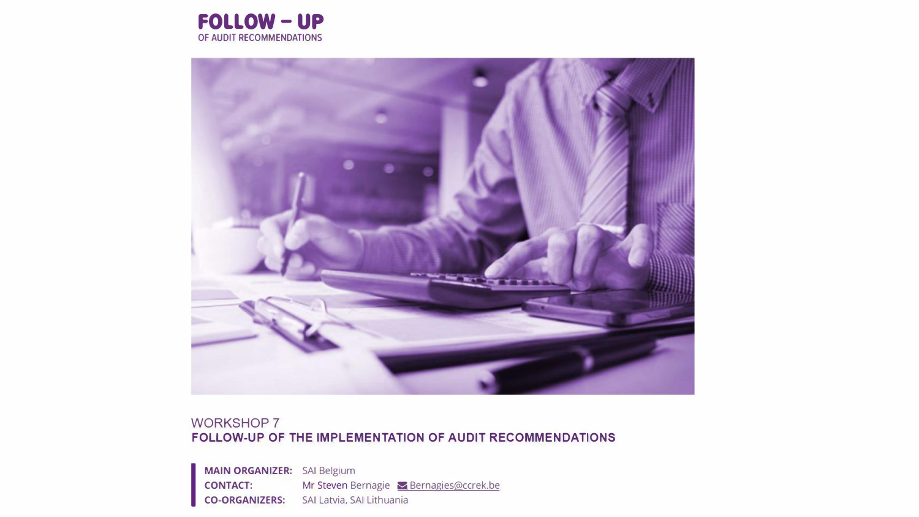



#### WORKSHOP 7 **FOLLOW-UP OF THE IMPLEMENTATION OF AUDIT RECOMMENDATIONS**

**MAIN ORGANIZER:** SAI Belgium **CONTACT:** Mr Steven Bernagie **Bernagies@ccrek.be CO-ORGANIZERS:** SAI Latvia, SAI Lithuania

**I**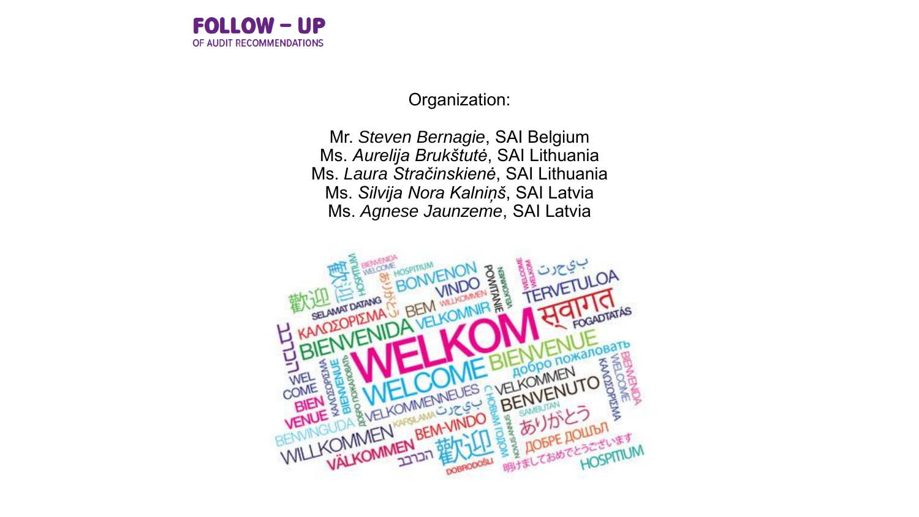

Organization:

Mr. *Steven Bernagie*, SAI Belgium Ms. *Aurelija Brukštutė*, SAI Lithuania Ms. *Laura Stračinskienė*, SAI Lithuania Ms. *Silvija Nora Kalniņš*, SAI Latvia Ms. *Agnese Jaunzeme*, SAI Latvia

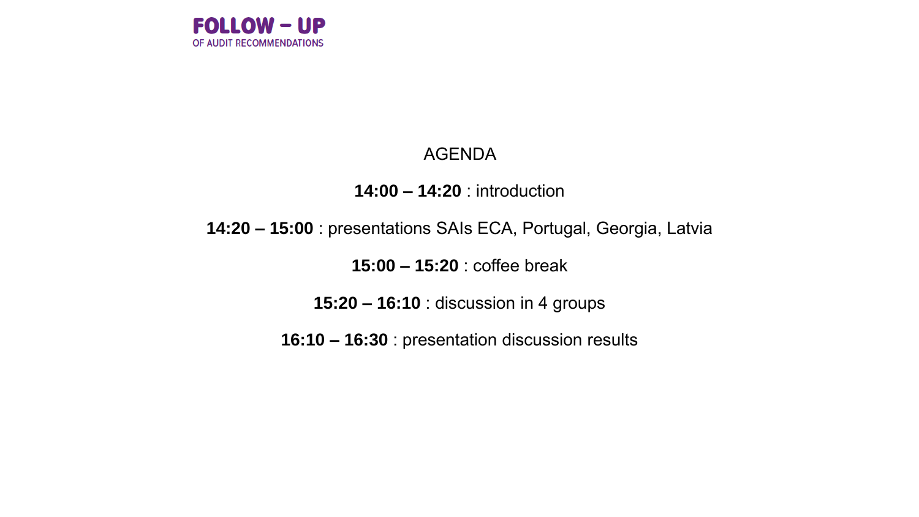

### AGENDA

### **14:00 – 14:20** : introduction

### **14:20 – 15:00** : presentations SAIs ECA, Portugal, Georgia, Latvia

**15:00 – 15:20** : coffee break

**15:20 – 16:10** : discussion in 4 groups

**16:10 – 16:30** : presentation discussion results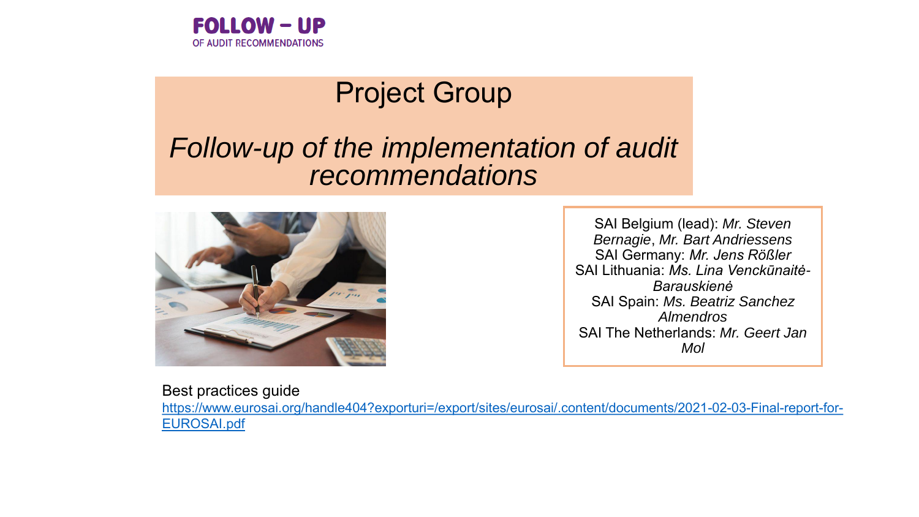

# Project Group

### *Follow-up of the implementation of audit recommendations*



SAI Belgium (lead): *Mr. Steven Bernagie*, *Mr. Bart Andriessens* SAI Germany: *Mr. Jens Rößler* SAI Lithuania: *Ms. Lina Venckūnaitė-Barauskienė* SAI Spain: *Ms. Beatriz Sanchez Almendros* SAI The Netherlands: *Mr. Geert Jan Mol* 

#### Best practices guide

[https://www.eurosai.org/handle404?exporturi=/export/sites/eurosai/.content/documents/2021-02-03-Final-report-for-](https://www.eurosai.org/handle404?exporturi=/export/sites/eurosai/.content/documents/2021-02-03-Final-report-for-EUROSAI.pdf)EUROSAI.pdf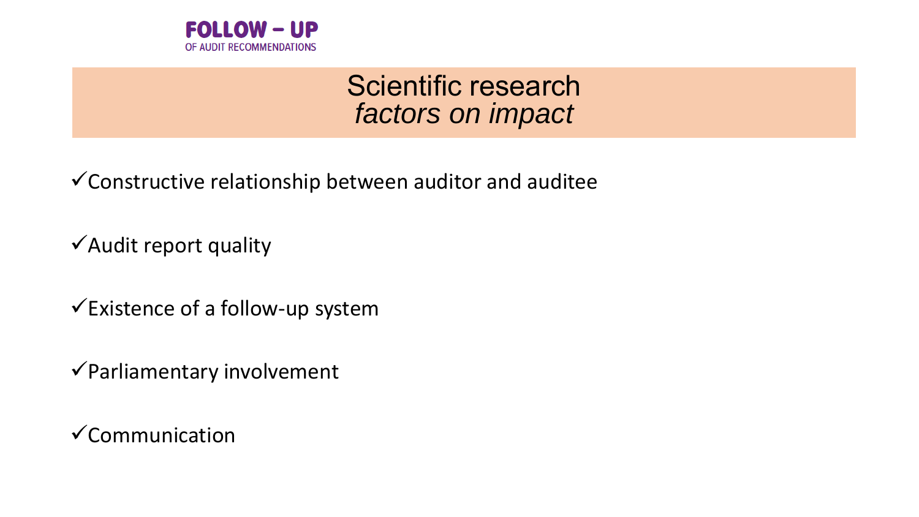

## Scientific research *factors on impact*

 $\checkmark$  Constructive relationship between auditor and auditee

✓Audit report quality

 $\checkmark$ Existence of a follow-up system

✓Parliamentary involvement

✓Communication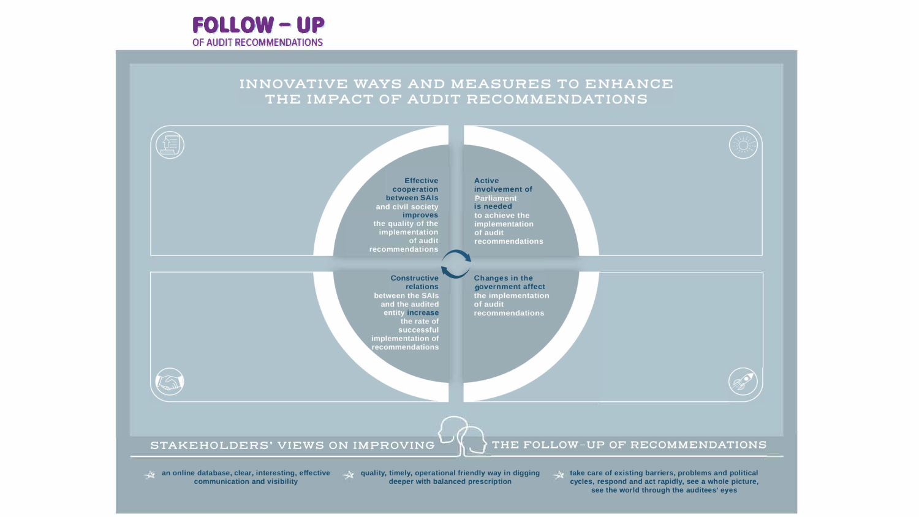

#### INNOVATIVE WAYS AND MEASURES TO ENHANCE THE IMPACT OF AUDIT RECOMMENDATIONS



**communist deeper with balanced prescription** 

cycles, respond and act rapidly, see a whole picture, see the world through the auditees' eyes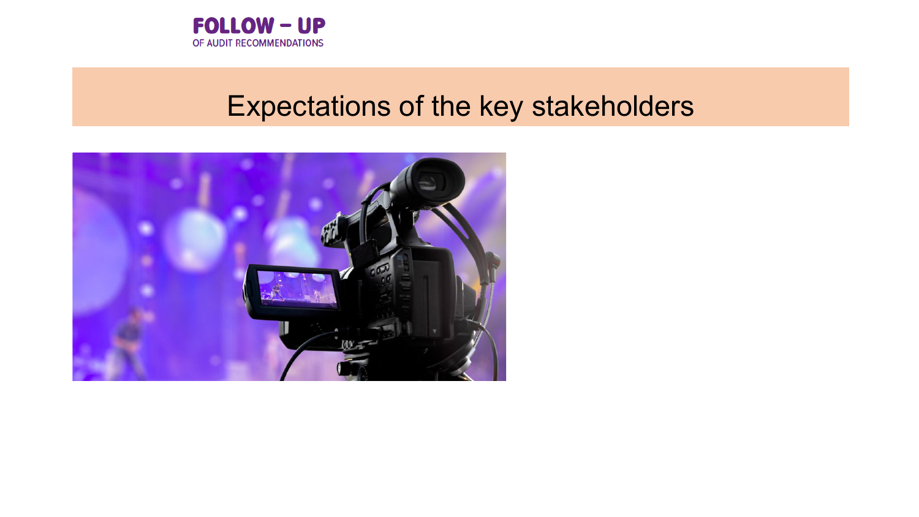

## Expectations of the key stakeholders

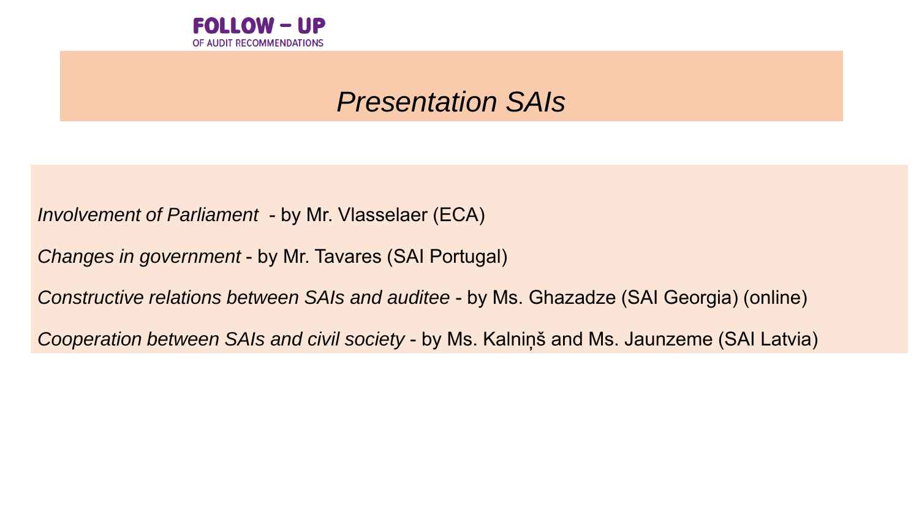

## *Presentation SAIs*

*Involvement of Parliament* - by Mr. Vlasselaer (ECA)

*Changes in government* - by Mr. Tavares (SAI Portugal)

*Constructive relations between SAIs and auditee* - by Ms. Ghazadze (SAI Georgia) (online)

*Cooperation between SAIs and civil society* - by Ms. Kalniņš and Ms. Jaunzeme (SAI Latvia)